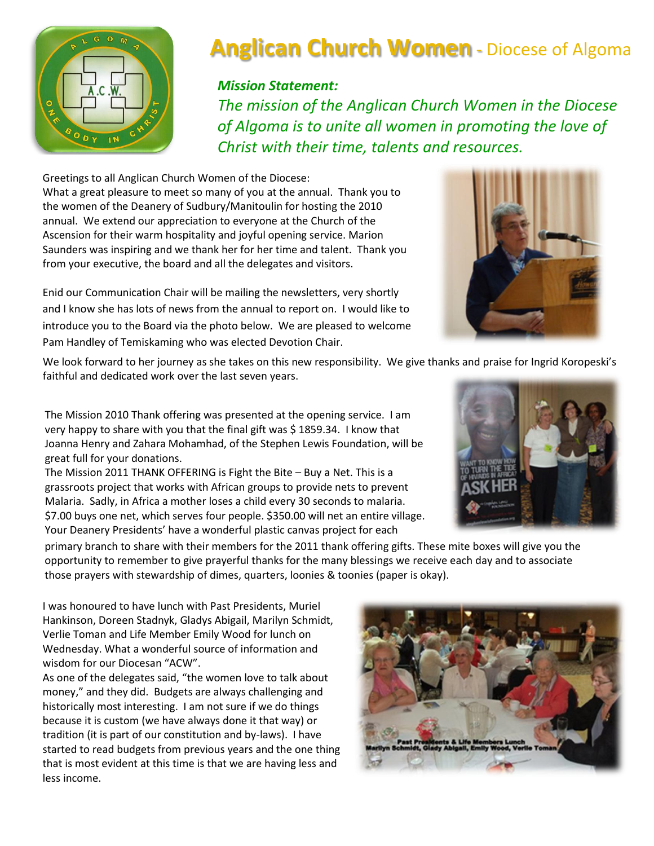

# **Anglican Church Women** - Diocese of Algoma

#### *Mission Statement:*

*The mission of the Anglican Church Women in the Diocese of Algoma is to unite all women in promoting the love of Christ with their time, talents and resources.*

Greetings to all Anglican Church Women of the Diocese: What a great pleasure to meet so many of you at the annual. Thank you to the women of the Deanery of Sudbury/Manitoulin for hosting the 2010 annual. We extend our appreciation to everyone at the Church of the Ascension for their warm hospitality and joyful opening service. Marion Saunders was inspiring and we thank her for her time and talent. Thank you from your executive, the board and all the delegates and visitors.

Enid our Communication Chair will be mailing the newsletters, very shortly and I know she has lots of news from the annual to report on. I would like to introduce you to the Board via the photo below. We are pleased to welcome Pam Handley of Temiskaming who was elected Devotion Chair.

We look forward to her journey as she takes on this new responsibility. We give thanks and praise for Ingrid Koropeski's faithful and dedicated work over the last seven years.

The Mission 2010 Thank offering was presented at the opening service. I am very happy to share with you that the final gift was \$1859.34. I know that Joanna Henry and Zahara Mohamhad, of the Stephen Lewis Foundation, will be great full for your donations.

The Mission 2011 THANK OFFERING is Fight the Bite – Buy a Net. This is a grassroots project that works with African groups to provide nets to prevent Malaria. Sadly, in Africa a mother loses a child every 30 seconds to malaria. \$7.00 buys one net, which serves four people. \$350.00 will net an entire village. Your Deanery Presidents' have a wonderful plastic canvas project for each



primary branch to share with their members for the 2011 thank offering gifts. These mite boxes will give you the opportunity to remember to give prayerful thanks for the many blessings we receive each day and to associate those prayers with stewardship of dimes, quarters, loonies & toonies (paper is okay).

I was honoured to have lunch with Past Presidents, Muriel Hankinson, Doreen Stadnyk, Gladys Abigail, Marilyn Schmidt, Verlie Toman and Life Member Emily Wood for lunch on Wednesday. What a wonderful source of information and wisdom for our Diocesan "ACW".

As one of the delegates said, "the women love to talk about money," and they did. Budgets are always challenging and historically most interesting. I am not sure if we do things because it is custom (we have always done it that way) or tradition (it is part of our constitution and by-laws). I have started to read budgets from previous years and the one thing that is most evident at this time is that we are having less and less income.



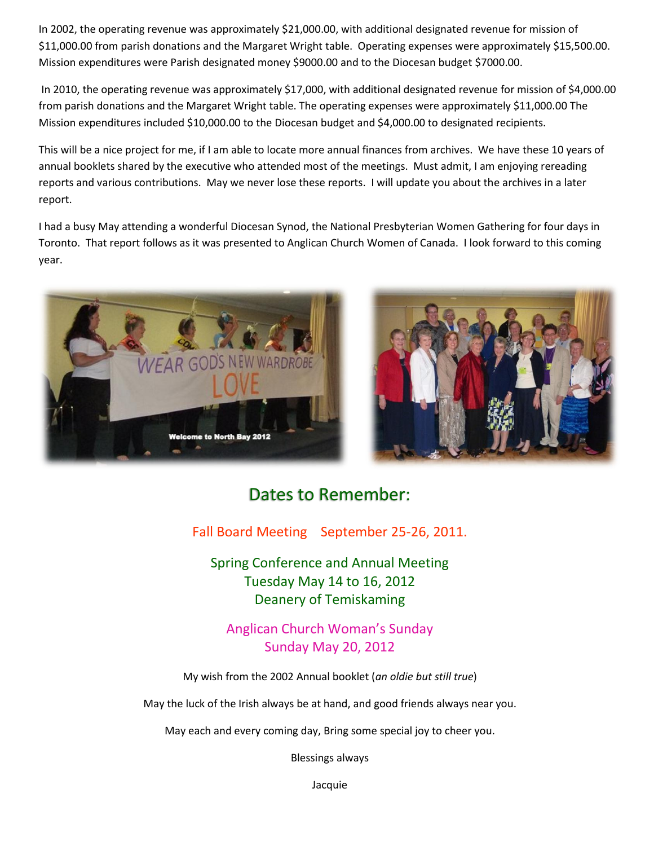In 2002, the operating revenue was approximately \$21,000.00, with additional designated revenue for mission of \$11,000.00 from parish donations and the Margaret Wright table. Operating expenses were approximately \$15,500.00. Mission expenditures were Parish designated money \$9000.00 and to the Diocesan budget \$7000.00.

In 2010, the operating revenue was approximately \$17,000, with additional designated revenue for mission of \$4,000.00 from parish donations and the Margaret Wright table. The operating expenses were approximately \$11,000.00 The Mission expenditures included \$10,000.00 to the Diocesan budget and \$4,000.00 to designated recipients.

This will be a nice project for me, if I am able to locate more annual finances from archives. We have these 10 years of annual booklets shared by the executive who attended most of the meetings. Must admit, I am enjoying rereading reports and various contributions. May we never lose these reports. I will update you about the archives in a later report.

I had a busy May attending a wonderful Diocesan Synod, the National Presbyterian Women Gathering for four days in Toronto. That report follows as it was presented to Anglican Church Women of Canada. I look forward to this coming year.





## Dates to Remember:

Fall Board Meeting September 25-26, 2011.

Spring Conference and Annual Meeting Tuesday May 14 to 16, 2012 Deanery of Temiskaming

Anglican Church Woman's Sunday Sunday May 20, 2012

My wish from the 2002 Annual booklet (*an oldie but still true*)

May the luck of the Irish always be at hand, and good friends always near you.

May each and every coming day, Bring some special joy to cheer you.

Blessings always

Jacquie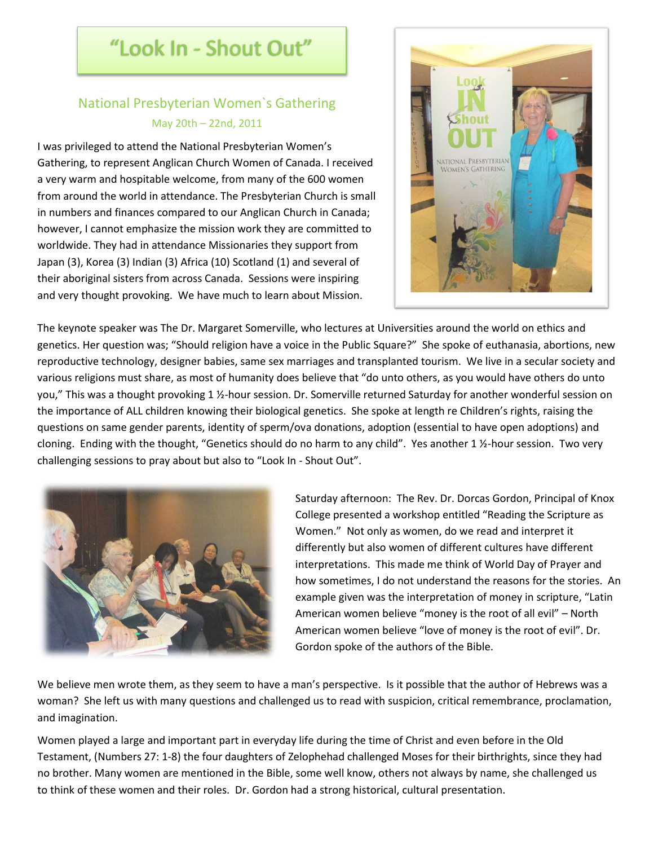## "Look In - Shout Out"

### National Presbyterian Women`s Gathering May 20th – 22nd, 2011

I was privileged to attend the National Presbyterian Women's Gathering, to represent Anglican Church Women of Canada. I received a very warm and hospitable welcome, from many of the 600 women from around the world in attendance. The Presbyterian Church is small in numbers and finances compared to our Anglican Church in Canada; however, I cannot emphasize the mission work they are committed to worldwide. They had in attendance Missionaries they support from Japan (3), Korea (3) Indian (3) Africa (10) Scotland (1) and several of their aboriginal sisters from across Canada. Sessions were inspiring and very thought provoking. We have much to learn about Mission.



The keynote speaker was The Dr. Margaret Somerville, who lectures at Universities around the world on ethics and genetics. Her question was; "Should religion have a voice in the Public Square?" She spoke of euthanasia, abortions, new reproductive technology, designer babies, same sex marriages and transplanted tourism. We live in a secular society and various religions must share, as most of humanity does believe that "do unto others, as you would have others do unto you," This was a thought provoking 1 ½-hour session. Dr. Somerville returned Saturday for another wonderful session on the importance of ALL children knowing their biological genetics. She spoke at length re Children's rights, raising the questions on same gender parents, identity of sperm/ova donations, adoption (essential to have open adoptions) and cloning. Ending with the thought, "Genetics should do no harm to any child". Yes another 1 ½-hour session. Two very challenging sessions to pray about but also to "Look In - Shout Out".



Saturday afternoon: The Rev. Dr. Dorcas Gordon, Principal of Knox College presented a workshop entitled "Reading the Scripture as Women." Not only as women, do we read and interpret it differently but also women of different cultures have different interpretations. This made me think of World Day of Prayer and how sometimes, I do not understand the reasons for the stories. An example given was the interpretation of money in scripture, "Latin American women believe "money is the root of all evil" – North American women believe "love of money is the root of evil". Dr. Gordon spoke of the authors of the Bible.

We believe men wrote them, as they seem to have a man's perspective. Is it possible that the author of Hebrews was a woman? She left us with many questions and challenged us to read with suspicion, critical remembrance, proclamation, and imagination.

Women played a large and important part in everyday life during the time of Christ and even before in the Old Testament, (Numbers 27: 1-8) the four daughters of Zelophehad challenged Moses for their birthrights, since they had no brother. Many women are mentioned in the Bible, some well know, others not always by name, she challenged us to think of these women and their roles. Dr. Gordon had a strong historical, cultural presentation.